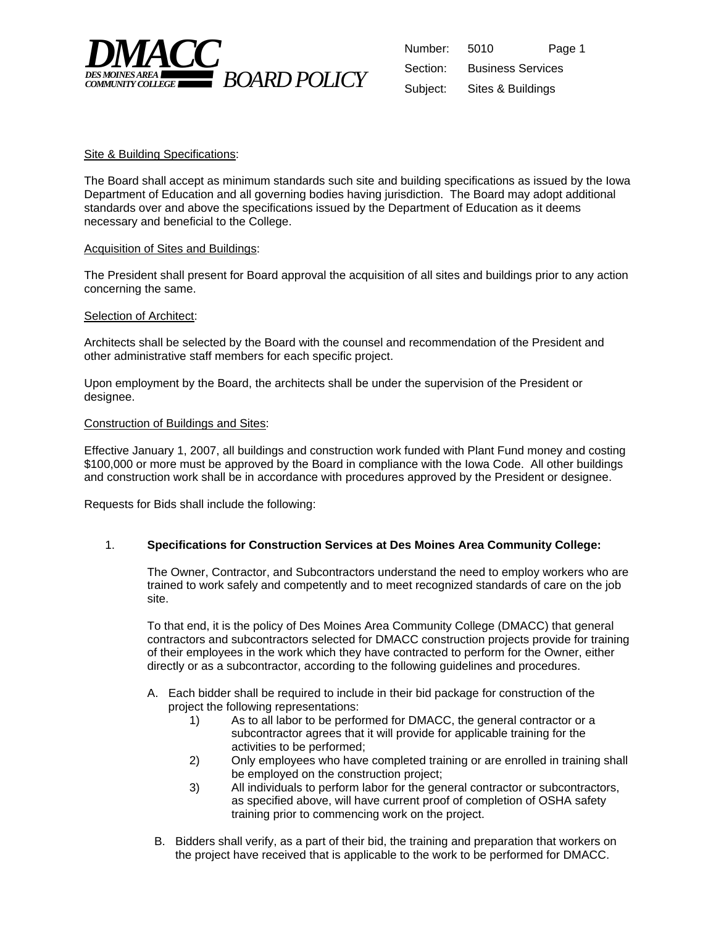

| Number:  | 5010                     | Page 1 |
|----------|--------------------------|--------|
| Section: | <b>Business Services</b> |        |
| Subject: | Sites & Buildings        |        |

## Site & Building Specifications:

The Board shall accept as minimum standards such site and building specifications as issued by the Iowa Department of Education and all governing bodies having jurisdiction. The Board may adopt additional standards over and above the specifications issued by the Department of Education as it deems necessary and beneficial to the College.

## Acquisition of Sites and Buildings:

The President shall present for Board approval the acquisition of all sites and buildings prior to any action concerning the same.

## Selection of Architect:

Architects shall be selected by the Board with the counsel and recommendation of the President and other administrative staff members for each specific project.

Upon employment by the Board, the architects shall be under the supervision of the President or designee.

## Construction of Buildings and Sites:

Effective January 1, 2007, all buildings and construction work funded with Plant Fund money and costing \$100,000 or more must be approved by the Board in compliance with the Iowa Code. All other buildings and construction work shall be in accordance with procedures approved by the President or designee.

Requests for Bids shall include the following:

## 1. **Specifications for Construction Services at Des Moines Area Community College:**

The Owner, Contractor, and Subcontractors understand the need to employ workers who are trained to work safely and competently and to meet recognized standards of care on the job site.

To that end, it is the policy of Des Moines Area Community College (DMACC) that general contractors and subcontractors selected for DMACC construction projects provide for training of their employees in the work which they have contracted to perform for the Owner, either directly or as a subcontractor, according to the following guidelines and procedures.

- A. Each bidder shall be required to include in their bid package for construction of the project the following representations:
	- 1) As to all labor to be performed for DMACC, the general contractor or a subcontractor agrees that it will provide for applicable training for the activities to be performed;
	- 2) Only employees who have completed training or are enrolled in training shall be employed on the construction project;
	- 3) All individuals to perform labor for the general contractor or subcontractors, as specified above, will have current proof of completion of OSHA safety training prior to commencing work on the project.
	- B. Bidders shall verify, as a part of their bid, the training and preparation that workers on the project have received that is applicable to the work to be performed for DMACC.